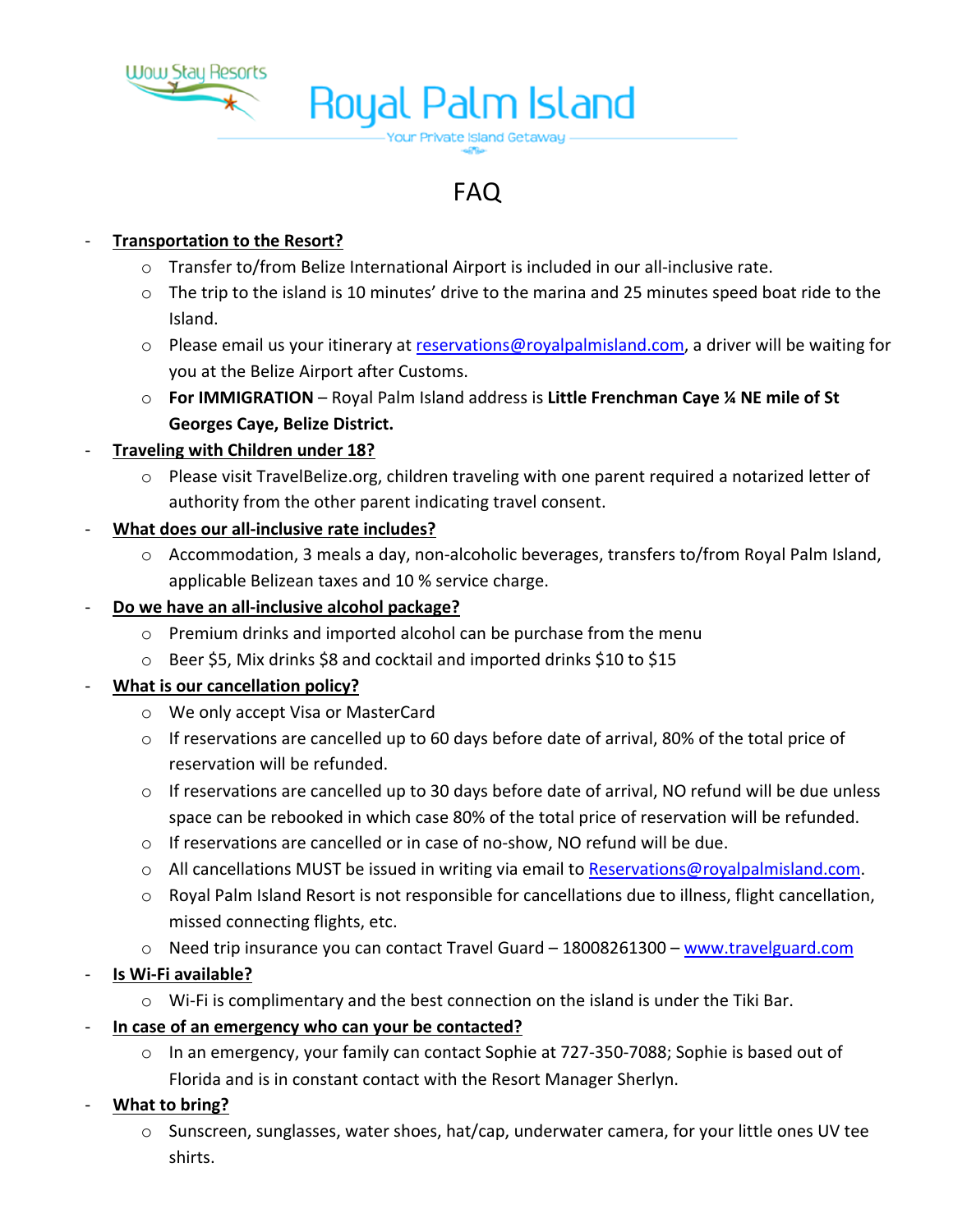

# **Royal Palm Island**

# FAQ

Your Private Island Getaway

# - **Transportation to the Resort?**

- o Transfer to/from Belize International Airport is included in our all-inclusive rate.
- o The trip to the island is 10 minutes' drive to the marina and 25 minutes speed boat ride to the Island.
- o Please email us your itinerary at reservations@royalpalmisland.com, a driver will be waiting for you at the Belize Airport after Customs.
- o **For IMMIGRATION** Royal Palm Island address is **Little Frenchman Caye ¼ NE mile of St Georges Caye, Belize District.**

# - **Traveling with Children under 18?**

 $\circ$  Please visit TravelBelize.org, children traveling with one parent required a notarized letter of authority from the other parent indicating travel consent.

# - **What does our all-inclusive rate includes?**

o Accommodation, 3 meals a day, non-alcoholic beverages, transfers to/from Royal Palm Island, applicable Belizean taxes and 10 % service charge.

#### - **Do we have an all-inclusive alcohol package?**

- o Premium drinks and imported alcohol can be purchase from the menu
- o Beer \$5, Mix drinks \$8 and cocktail and imported drinks \$10 to \$15

#### - **What is our cancellation policy?**

- o We only accept Visa or MasterCard
- $\circ$  If reservations are cancelled up to 60 days before date of arrival, 80% of the total price of reservation will be refunded.
- $\circ$  If reservations are cancelled up to 30 days before date of arrival, NO refund will be due unless space can be rebooked in which case 80% of the total price of reservation will be refunded.
- $\circ$  If reservations are cancelled or in case of no-show, NO refund will be due.
- o All cancellations MUST be issued in writing via email to Reservations@royalpalmisland.com.
- o Royal Palm Island Resort is not responsible for cancellations due to illness, flight cancellation, missed connecting flights, etc.
- o Need trip insurance you can contact Travel Guard 18008261300 www.travelguard.com

# - **Is Wi-Fi available?**

- $\circ$  Wi-Fi is complimentary and the best connection on the island is under the Tiki Bar.
- **In case of an emergency who can your be contacted?**
	- o In an emergency, your family can contact Sophie at 727-350-7088; Sophie is based out of Florida and is in constant contact with the Resort Manager Sherlyn.
- **What to bring?**
	- $\circ$  Sunscreen, sunglasses, water shoes, hat/cap, underwater camera, for your little ones UV tee shirts.